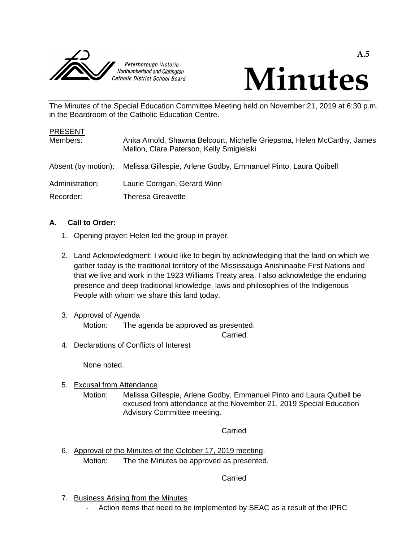



**A.5**

The Minutes of the Special Education Committee Meeting held on November 21, 2019 at 6:30 p.m. in the Boardroom of the Catholic Education Centre.

| <b>PRESENT</b>      |                                                                                                                     |
|---------------------|---------------------------------------------------------------------------------------------------------------------|
| Members:            | Anita Arnold, Shawna Belcourt, Michelle Griepsma, Helen McCarthy, James<br>Mellon, Clare Paterson, Kelly Smigielski |
| Absent (by motion): | Melissa Gillespie, Arlene Godby, Emmanuel Pinto, Laura Quibell                                                      |
| Administration:     | Laurie Corrigan, Gerard Winn                                                                                        |
| Recorder:           | <b>Theresa Greavette</b>                                                                                            |

# **A. Call to Order:**

- 1. Opening prayer: Helen led the group in prayer.
- 2. Land Acknowledgment: I would like to begin by acknowledging that the land on which we gather today is the traditional territory of the Mississauga Anishinaabe First Nations and that we live and work in the 1923 Williams Treaty area. I also acknowledge the enduring presence and deep traditional knowledge, laws and philosophies of the Indigenous People with whom we share this land today.
- 3. Approval of Agenda

Motion: The agenda be approved as presented.

Carried

4. Declarations of Conflicts of Interest

None noted.

- 5. Excusal from Attendance
	- Motion: Melissa Gillespie, Arlene Godby, Emmanuel Pinto and Laura Quibell be excused from attendance at the November 21, 2019 Special Education Advisory Committee meeting.

Carried

6. Approval of the Minutes of the October 17, 2019 meeting. Motion: The the Minutes be approved as presented.

Carried

- 7. Business Arising from the Minutes
	- Action items that need to be implemented by SEAC as a result of the IPRC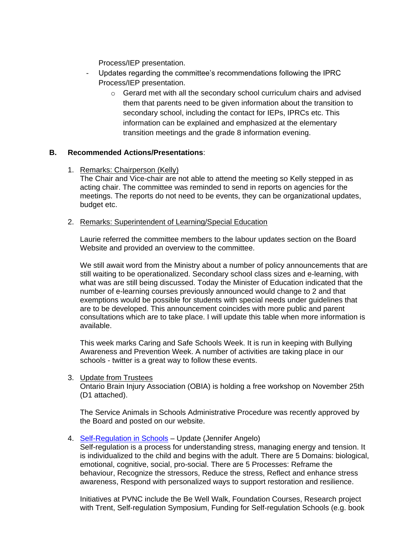Process/IEP presentation.

- Updates regarding the committee's recommendations following the IPRC Process/IEP presentation.
	- o Gerard met with all the secondary school curriculum chairs and advised them that parents need to be given information about the transition to secondary school, including the contact for IEPs, IPRCs etc. This information can be explained and emphasized at the elementary transition meetings and the grade 8 information evening.

### **B. Recommended Actions/Presentations**:

1. Remarks: Chairperson (Kelly)

The Chair and Vice-chair are not able to attend the meeting so Kelly stepped in as acting chair. The committee was reminded to send in reports on agencies for the meetings. The reports do not need to be events, they can be organizational updates, budget etc.

#### 2. Remarks: Superintendent of Learning/Special Education

Laurie referred the committee members to the labour updates section on the Board Website and provided an overview to the committee.

We still await word from the Ministry about a number of policy announcements that are still waiting to be operationalized. Secondary school class sizes and e-learning, with what was are still being discussed. Today the Minister of Education indicated that the number of e-learning courses previously announced would change to 2 and that exemptions would be possible for students with special needs under guidelines that are to be developed. This announcement coincides with more public and parent consultations which are to take place. I will update this table when more information is available.

This week marks Caring and Safe Schools Week. It is run in keeping with Bullying Awareness and Prevention Week. A number of activities are taking place in our schools - twitter is a great way to follow these events.

#### 3. Update from Trustees

Ontario Brain Injury Association (OBIA) is holding a free workshop on November 25th (D1 attached).

The Service Animals in Schools Administrative Procedure was recently approved by the Board and posted on our website.

4. [Self-Regulation in Schools](https://self-reg.ca/self-reg/books/self-reg-schools-a-handbook-for-educators/?sfns=mo) – Update (Jennifer Angelo)

Self-regulation is a process for understanding stress, managing energy and tension. It is individualized to the child and begins with the adult. There are 5 Domains: biological, emotional, cognitive, social, pro-social. There are 5 Processes: Reframe the behaviour, Recognize the stressors, Reduce the stress, Reflect and enhance stress awareness, Respond with personalized ways to support restoration and resilience.

Initiatives at PVNC include the Be Well Walk, Foundation Courses, Research project with Trent, Self-regulation Symposium, Funding for Self-regulation Schools (e.g. book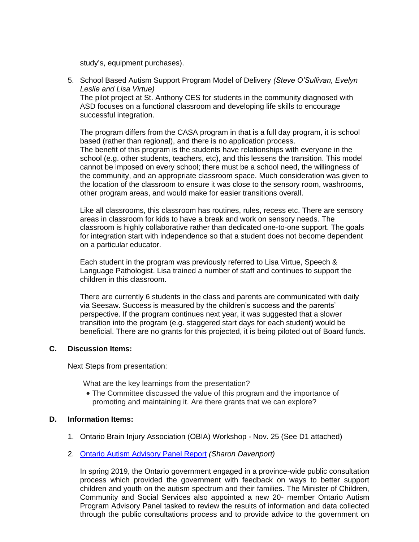study's, equipment purchases).

5. School Based Autism Support Program Model of Delivery *(Steve O'Sullivan, Evelyn Leslie and Lisa Virtue)* The pilot project at St. Anthony CES for students in the community diagnosed with ASD focuses on a functional classroom and developing life skills to encourage successful integration.

The program differs from the CASA program in that is a full day program, it is school based (rather than regional), and there is no application process. The benefit of this program is the students have relationships with everyone in the

school (e.g. other students, teachers, etc), and this lessens the transition. This model cannot be imposed on every school; there must be a school need, the willingness of the community, and an appropriate classroom space. Much consideration was given to the location of the classroom to ensure it was close to the sensory room, washrooms, other program areas, and would make for easier transitions overall.

Like all classrooms, this classroom has routines, rules, recess etc. There are sensory areas in classroom for kids to have a break and work on sensory needs. The classroom is highly collaborative rather than dedicated one-to-one support. The goals for integration start with independence so that a student does not become dependent on a particular educator.

Each student in the program was previously referred to Lisa Virtue, Speech & Language Pathologist. Lisa trained a number of staff and continues to support the children in this classroom.

There are currently 6 students in the class and parents are communicated with daily via Seesaw. Success is measured by the children's success and the parents' perspective. If the program continues next year, it was suggested that a slower transition into the program (e.g. staggered start days for each student) would be beneficial. There are no grants for this projected, it is being piloted out of Board funds.

### **C. Discussion Items:**

Next Steps from presentation:

What are the key learnings from the presentation?

 The Committee discussed the value of this program and the importance of promoting and maintaining it. Are there grants that we can explore?

### **D. Information Items:**

- 1. Ontario Brain Injury Association (OBIA) Workshop Nov. 25 (See D1 attached)
- 2. [Ontario Autism Advisory Panel Report](http://www.children.gov.on.ca/htdocs/English/documents/specialneeds/autism/AutismAdvisoryPanelReport_2019.pdf) *(Sharon Davenport)*

In spring 2019, the Ontario government engaged in a province-wide public consultation process which provided the government with feedback on ways to better support children and youth on the autism spectrum and their families. The Minister of Children, Community and Social Services also appointed a new 20- member Ontario Autism Program Advisory Panel tasked to review the results of information and data collected through the public consultations process and to provide advice to the government on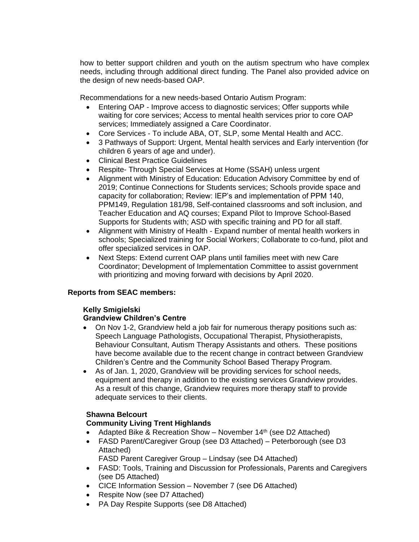how to better support children and youth on the autism spectrum who have complex needs, including through additional direct funding. The Panel also provided advice on the design of new needs-based OAP.

Recommendations for a new needs-based Ontario Autism Program:

- Entering OAP Improve access to diagnostic services; Offer supports while waiting for core services; Access to mental health services prior to core OAP services; Immediately assigned a Care Coordinator.
- Core Services To include ABA, OT, SLP, some Mental Health and ACC.
- 3 Pathways of Support: Urgent, Mental health services and Early intervention (for children 6 years of age and under).
- Clinical Best Practice Guidelines
- Respite- Through Special Services at Home (SSAH) unless urgent
- Alignment with Ministry of Education: Education Advisory Committee by end of 2019; Continue Connections for Students services; Schools provide space and capacity for collaboration; Review: IEP's and implementation of PPM 140, PPM149, Regulation 181/98, Self-contained classrooms and soft inclusion, and Teacher Education and AQ courses; Expand Pilot to Improve School-Based Supports for Students with; ASD with specific training and PD for all staff.
- Alignment with Ministry of Health Expand number of mental health workers in schools; Specialized training for Social Workers; Collaborate to co-fund, pilot and offer specialized services in OAP.
- Next Steps: Extend current OAP plans until families meet with new Care Coordinator; Development of Implementation Committee to assist government with prioritizing and moving forward with decisions by April 2020.

### **Reports from SEAC members:**

#### **Kelly Smigielski**

### **Grandview Children's Centre**

- On Nov 1-2, Grandview held a job fair for numerous therapy positions such as: Speech Language Pathologists, Occupational Therapist, Physiotherapists, Behaviour Consultant, Autism Therapy Assistants and others. These positions have become available due to the recent change in contract between Grandview Children's Centre and the Community School Based Therapy Program.
- As of Jan. 1, 2020, Grandview will be providing services for school needs, equipment and therapy in addition to the existing services Grandview provides. As a result of this change, Grandview requires more therapy staff to provide adequate services to their clients.

#### **Shawna Belcourt**

### **Community Living Trent Highlands**

- Adapted Bike & Recreation Show November  $14<sup>th</sup>$  (see D2 Attached)
- FASD Parent/Caregiver Group (see D3 Attached) Peterborough (see D3 Attached)

FASD Parent Caregiver Group – Lindsay (see D4 Attached)

- FASD: Tools, Training and Discussion for Professionals, Parents and Caregivers (see D5 Attached)
- CICE Information Session November 7 (see D6 Attached)
- Respite Now (see D7 Attached)
- PA Day Respite Supports (see D8 Attached)